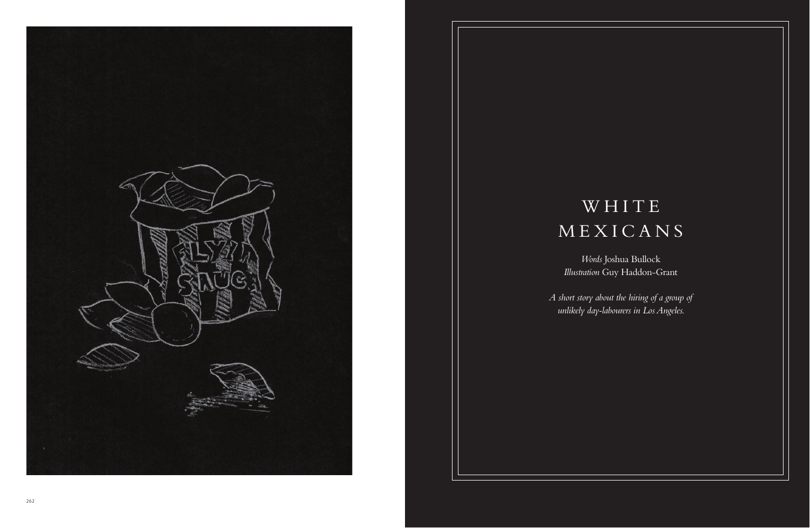

# WHITE MEXICANS

*A short story about the hiring of a group of unlikely day-labourers in Los Angeles.*

*Words* Joshua Bullock *Illustration* Guy Haddon-Grant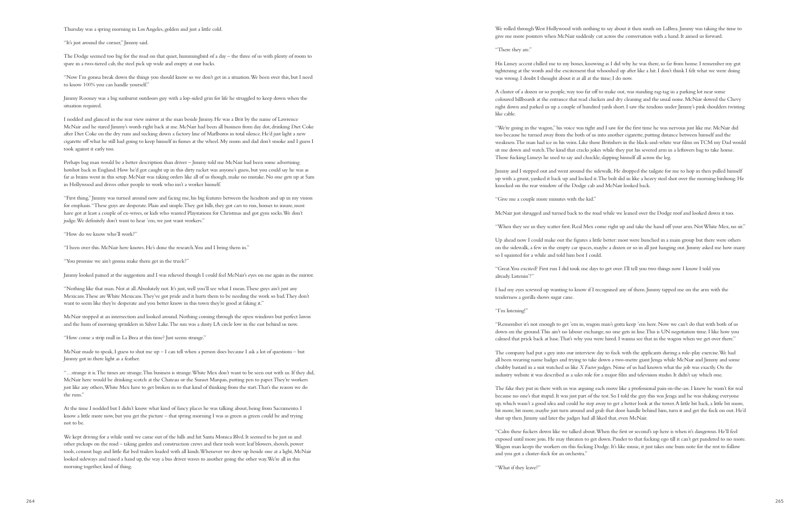We rolled through West Hollywood with nothing to say about it then south on LaBrea. Jimmy was taking the time to give me more pointers when McNair suddenly cut across the conversation with a hand. It aimed us forward.

"There they are."

His Limey accent chilled me to my bones, knowing as I did why he was there, so far from home. I remember my gut tightening at the words and the excitement that whooshed up after like a hit. I don't think I felt what we were doing was wrong. I doubt I thought about it at all at the time; I do now.

A cluster of a dozen or so people, way too far off to make out, was standing rag-tag in a parking lot near some coloured billboards at the entrance that read chicken and dry cleaning and the usual noise. McNair slowed the Chevy right down and parked us up a couple of hundred yards short. I saw the tendons under Jimmy's pink shoulders twisting

like cable.

"We're going in the wagon," his voice was tight and I saw for the first time he was nervous just like me. McNair did too because he turned away from the both of us into another cigarette, putting distance between himself and the weakness. The man had ice in his veins. Like those Britishers in the black-and-white war films on TCM my Dad would sit me down and watch. The kind that cracks jokes while they put his severed arm in a leftovers bag to take home. Those fucking Limeys he used to say and chuckle, slapping himself all across the leg.

Jimmy and I stepped out and went around the sidewalk. He dropped the tailgate for me to hop in then pulled himself up with a grunt, yanked it back up and locked it. The bolt slid in like a heavy steel shot over the morning birdsong. He knocked on the rear window of the Dodge cab and McNair looked back.

"Give me a couple more minutes with the kid."

McNair just shrugged and turned back to the road while we leaned over the Dodge roof and looked down it too.

"When they see us they scatter first. Real Mex come right up and take the hand off your arm. Not White Mex, no sir."

"Calm these fuckers down like we talked about. When the first or second's up here is when it's dangerous. He'll feel exposed until more join. He may threaten to get down. Pander to that fucking ego till it can't get pandered to no more. Wagon man keeps the workers on this fucking Dodge. It's like music, it just takes one bum note for the rest to follow and you got a cluster-fuck for an orchestra.'

Up ahead now I could make out the figures a little better: most were bunched in a main group but there were others on the sidewalk, a few in the empty car spaces, maybe a dozen or so in all just hanging out. Jimmy asked me how many

so I squinted for a while and told him best I could.

"Great. You excited? First run I did took me days to get over. I'll tell you two things now I know I told you

already. Listenin'?"

I had my eyes screwed up wanting to know if I recognised any of them. Jimmy tapped me on the arm with the tenderness a gorilla shows sugar cane.

"I'm listening!"

"Remember it's not enough to get 'em in, wagon man's gotta keep 'em here. Now we can't do that with both of us down on the ground. This ain't no labour exchange, no one gets in line. This is UN negotiation time. I like how you calmed that prick back at base. That's why you were hired. I wanna see that in the wagon when we get over there."

The company had put a guy into our interview day to fuck with the applicants during a role-play exercise. We had all been wearing name badges and trying to take down a two-metre giant Jenga while McNair and Jimmy and some chubby bastard in a suit watched us like *X Factor* judges. None of us had known what the job was exactly. On the industry website it was described as a sales role for a major film and television studio. It didn't say which one.

"Nothing like that man. Not at all. Absolutely not. It's just, well you'll see what I mean. These guys ain't just any Mexicans. These are White Mexicans. They've got pride and it hurts them to be needing the work so bad. They don't want to seem like they're desperate and you better know in this town they're good at faking it."

> The fake they put in there with us was arguing each move like a professional pain-in-the-ass. I knew he wasn't for real because no one's that stupid. It was just part of the test. So I told the guy this was Jenga and he was shaking everyone up, which wasn't a good idea and could he step away to get a better look at the tower. A little bit back, a little bit more, bit more, bit more, maybe just turn around and grab that door handle behind him, turn it and get the fuck on out. He'd shut up then. Jimmy said later the judges had all liked that, even McNair.

"What if they leave?"

Thursday was a spring morning in Los Angeles, golden and just a little cold.

"It's just around the corner," Jimmy said.

The Dodge seemed too big for the road on that quiet, hummingbird of a day – the three of us with plenty of room to spare in a two-tiered cab, the steel pick up wide and empty at our backs.

"Now I'm gonna break down the things you should know so we don't get in a situation. We been over this, but I need to know 100% you can handle yourself."

Jimmy Rooney was a big sunburnt outdoors guy with a lop-sided grin for life he struggled to keep down when the situation required.

I nodded and glanced in the rear view mirror at the man beside Jimmy. He was a Brit by the name of Lawrence McNair and he stared Jimmy's words right back at me. McNair had been all business from day dot, drinking Diet Coke after Diet Coke on the dry runs and sucking down a factory line of Marlboros in total silence. He'd just light a new cigarette off what he still had going to keep himself in fumes at the wheel. My mom and dad don't smoke and I guess I took against it early too.

Perhaps bag man would be a better description than driver – Jimmy told me McNair had been some advertising hotshot back in England. How he'd got caught up in this dirty racket was anyone's guess, but you could say he was as far as brains went in this setup. McNair was taking orders like all of us though, make no mistake. No one gets up at 5am in Hollywood and drives other people to work who isn't a worker himself.

"First thing," Jimmy was turned around now and facing me, his big features between the headrests and up in my vision for emphasis. "These guys are desperate. Plain and simple. They got bills, they got cars to run, homes to insure, most have got at least a couple of ex-wives, or kids who wanted Playstations for Christmas and got gym socks. We don't judge. We definitely don't want to hear 'em, we just want workers."

"How do we know who'll work?"

"I been over this. McNair here knows. He's done the research. You and I bring them in."

"You promise we ain't gonna make them get in the truck?"

Jimmy looked pained at the suggestion and I was relieved though I could feel McNair's eyes on me again in the mirror.

McNair stopped at an intersection and looked around. Nothing coming through the open windows but perfect lawns and the hum of morning sprinklers in Silver Lake. The sun was a dusty LA circle low in the east behind us now.

"How come a strip mall in La Brea at this time? Just seems strange."

McNair made to speak, I guess to shut me up – I can tell when a person does because I ask a lot of questions – but Jimmy got in there light as a feather.

"…strange it is. The times are strange. This business is strange. White Mex don't want to be seen out with us. If they did, McNair here would be drinking scotch at the Chateau or the Sunset Marquis, putting pen to paper. They're workers just like any others, White Mex have to get broken in to that kind of thinking from the start. That's the reason we do the runs."

At the time I nodded but I didn't know what kind of fancy places he was talking about, being from Sacramento. I know a little more now, but you get the picture – that spring morning I was as green as green could be and trying not to be.

We kept driving for a while until we came out of the hills and hit Santa Monica Blvd. It seemed to be just us and other pickups on the road – taking garden and construction crews and their tools west: leaf blowers, shovels, power tools, cement bags and little flat bed trailers loaded with all kinds. Whenever we drew up beside one at a light, McNair looked sideways and raised a hand up, the way a bus driver waves to another going the other way. We're all in this morning together, kind of thing.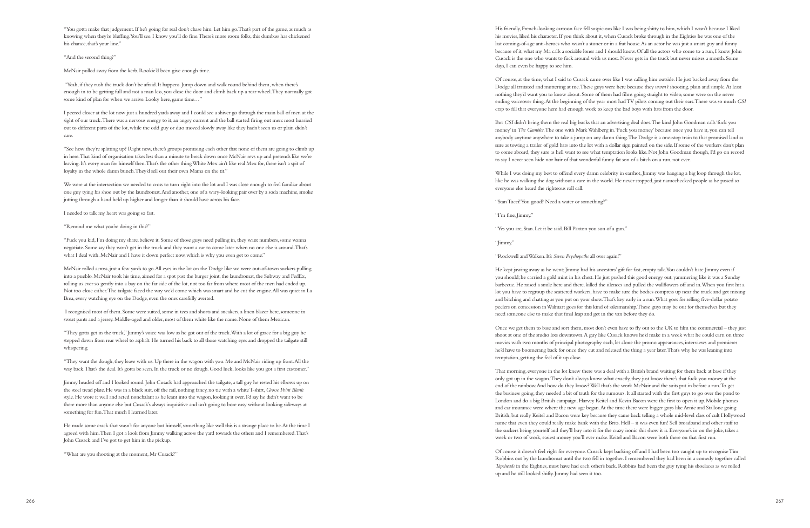"Yes you are, Stan. Let it be said. Bill Paxton you son of a gun."

His friendly, French-looking cartoon face fell suspicious like I was being shitty to him, which I wasn't because I liked his movies, liked his character. If you think about it, when Cusack broke through in the Eighties he was one of the last coming-of-age anti-heroes who wasn't a stoner or in a frat house. As an actor he was just a smart guy and funny because of it, what my Ma calls a sociable loner and I should know. Of all the actors who come to a run, I know John Cusack is the one who wants to fuck around with us most. Never gets in the truck but never misses a month. Some days, I can even be happy to see him.

Of course, at the time, what I said to Cusack came over like I was calling him outside. He just backed away from the Dodge all irritated and muttering at me. These guys were here because they *weren't* shooting, plain and simple. At least nothing they'd want you to know about. Some of them had films going straight to video, some were on the never ending voiceover thing. At the beginning of the year most had TV pilots coming out their ears. There was so much *CSI* crap to fill that everyone here had enough work to keep the bad boys with bats from the door.

While I was doing my best to offend every damn celebrity in earshot, Jimmy was hanging a big loop through the lot, like he was walking the dog without a care in the world. He never stopped, just namechecked people as he passed so everyone else heard the righteous roll call.

But *CSI* didn't bring them the real big bucks that an advertising deal does. The kind John Goodman calls 'fuck you money' in *The Gambler*. The one with Mark Wahlberg in. 'Fuck you money' because once you have it, you can tell anybody anytime anywhere to take a jump on any damn thing. The Dodge is a one-stop train to that promised land as sure as towing a trailer of gold bars into the lot with a dollar sign painted on the side. If some of the workers don't plan to come aboard, they sure as hell want to see what temptation looks like. Not John Goodman though, I'd go on record to say I never seen hide nor hair of that wonderful funny fat son of a bitch on a run, not ever.

"Stan Tucci! You good? Need a water or something?"

"I'm fine, Jimmy."

## "Jimmy."

# "Rockwell and Walken. It's *Seven Psychopaths* all over again!"

He kept jawing away as he went; Jimmy had his ancestors' gift for fast, empty talk. You couldn't hate Jimmy even if you should; he carried a gold mint in his chest. He just pushed this good energy out, yammering like it was a Sunday barbecue. He raised a smile here and there, killed the silences and pulled the wallflowers off and in. When you first hit a lot you have to regroup the scattered workers, have to make sure the bodies compress up near the truck and get mixing and bitching and chatting as you put on your show. That's key early in a run. What goes for selling five-dollar potato peelers on concession in Walmart goes for this kind of salesmanship. These guys may be out for themselves but they need someone else to make that final leap and get in the van before they do.

Once we get them to base and sort them, most don't even have to fly out to the UK to film the commercial – they just shoot at one of the studio lots downtown. A guy like Cusack knows he'd make in a week what he could earn on three movies with two months of principal photography each, let alone the promo appearances, interviews and premieres he'd have to boomerang back for once they cut and released the thing a year later. That's why he was leaning into temptation, getting the feel of it up close.

That morning, everyone in the lot knew there was a deal with a British brand waiting for them back at base if they only got up in the wagon. They don't always know what exactly, they just know there's that fuck you money at the end of the rainbow. And how do they know? Well that's the work McNair and the suits put in before a run. To get the business going, they needed a bit of truth for the rumours. It all started with the first guys to go over the pond to London and do a big British campaign. Harvey Keitel and Kevin Bacon were the first to open it up. Mobile phones and car insurance were where the new age began. At the time there were bigger guys like Arnie and Stallone going British, but really Keitel and Bacon were key because they came back telling a whole mid-level class of cult Hollywood name that even they could really make bank with the Brits. Hell – it was even fun! Sell broadband and other stuff to the suckers being yourself and they'll buy into it for the crazy ironic shit show it is. Everyone's in on the joke, takes a week or two of work, easiest money you'll ever make. Keitel and Bacon were both there on that first run.

Of course it doesn't feel right for everyone. Cusack kept backing off and I had been too caught up to recognise Tim Robbins out by the laundromat until the two fell in together. I remembered they had been in a comedy together called *Tapeheads* in the Eighties, must have had each other's back. Robbins had been the guy tying his shoelaces as we rolled up and he still looked shifty. Jimmy had seen it too.

"You gotta make that judgement. If he's going for real don't chase him. Let him go. That's part of the game, as much as knowing when they're bluffing. You'll see. I know you'll do fine. There's more room folks, this dumbass has chickened his chance, that's your line."

"And the second thing?"

McNair pulled away from the kerb. Rookie'd been give enough time.

 "Yeah, if they rush the truck don't be afraid. It happens. Jump down and walk round behind them, when there's enough in to be getting full and not a man less, you close the door and climb back up a rear wheel. They normally got some kind of plan for when we arrive. Looky here, game time…"

I peered closer at the lot now just a hundred yards away and I could see a shiver go through the main ball of men at the sight of our truck. There was a nervous energy to it, an angry current and the ball started firing out men: most hurried out to different parts of the lot, while the odd guy or duo moved slowly away like they hadn't seen us or plain didn't care.

"See how they're splitting up? Right now, there's groups promising each other that none of them are going to climb up in here. That kind of organisation takes less than a minute to break down once McNair revs up and pretends like we're leaving. It's every man for himself then. That's the other thing White Mex ain't like real Mex for, there isn't a spit of loyalty in the whole damn bunch. They'd sell out their own Mama on the tit."

We were at the intersection we needed to cross to turn right into the lot and I was close enough to feel familiar about one guy tying his shoe out by the laundromat. And another, one of a wary-looking pair over by a soda machine, smoke jutting through a hand held up higher and longer than it should have across his face.

I needed to talk my heart was going so fast.

"Remind me what you're doing in this?"

"Fuck you kid, I'm doing my share, believe it. Some of those guys need pulling in, they want numbers, some wanna negotiate. Some say they won't get in the truck and they want a car to come later when no one else is around. That's what I deal with. McNair and I have it down perfect now, which is why you even get to come."

McNair rolled across, just a few yards to go. All eyes in the lot on the Dodge like we were out-of-town suckers pulling into a pueblo. McNair took his time, aimed for a spot past the burger joint, the laundromat, the Subway and FedEx, rolling us ever so gently into a bay on the far side of the lot, not too far from where most of the men had ended up. Not too close either. The tailgate faced the way we'd come which was smart and he cut the engine. All was quiet in La Brea, every watching eye on the Dodge, even the ones carefully averted.

 I recognised most of them. Some were suited, some in tees and shorts and sneakers, a linen blazer here, someone in sweat pants and a jersey. Middle-aged and older, most of them white like the name. None of them Mexican.

"They gotta get in the truck," Jimmy's voice was low as he got out of the truck. With a lot of grace for a big guy he stepped down from rear wheel to asphalt. He turned his back to all those watching eyes and dropped the tailgate still whispering.

"They want the dough, they leave with us. Up there in the wagon with you. Me and McNair riding up front. All the way back. That's the deal. It's gotta be seen. In the truck or no dough. Good luck, looks like you got a first customer."

Jimmy headed off and I looked round. John Cusack had approached the tailgate, a tall guy he rested his elbows up on the steel tread plate. He was in a black suit, off the rail, nothing fancy, no tie with a white T-shirt, *Grosse Point Blank*  style. He wore it well and acted nonchalant as he leant into the wagon, looking it over. I'd say he didn't want to be there more than anyone else but Cusack's always inquisitive and isn't going to bore easy without looking sideways at something for fun. That much I learned later.

He made some crack that wasn't for anyone but himself, something like well this is a strange place to be. At the time I agreed with him. Then I got a look from Jimmy walking across the yard towards the others and I remembered. That's John Cusack and I've got to get him in the pickup.

"What are you shooting at the moment, Mr Cusack?"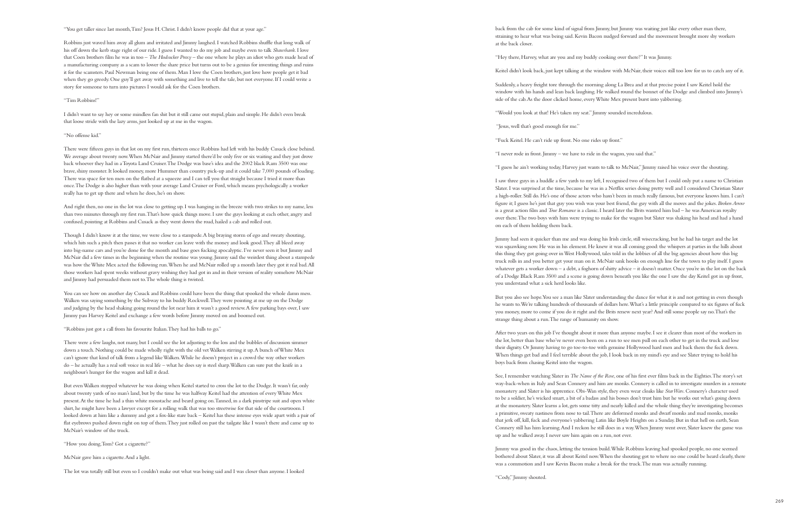back from the cab for some kind of signal from Jimmy, but Jimmy was waiting just like every other man there, straining to hear what was being said. Kevin Bacon nudged forward and the movement brought more shy workers

at the back closer.

"Hey there, Harvey, what are you and my buddy cooking over there?" It was Jimmy.

Keitel didn't look back, just kept talking at the window with McNair, their voices still too low for us to catch any of it.

Suddenly, a heavy freight tore through the morning along La Brea and at that precise point I saw Keitel hold the window with his hands and lean back laughing. He walked round the bonnet of the Dodge and climbed into Jimmy's side of the cab. As the door clicked home, every White Mex present burst into yabbering.

"Would you look at that! He's taken my seat." Jimmy sounded incredulous.

"Jesus, well that's good enough for me."

"Fuck Keitel. He can't ride up front. No one rides up front."

"I never rode in front. Jimmy – we have to ride in the wagon, you said that."

"I guess he ain't working today, Harvey just wants to talk to McNair," Jimmy raised his voice over the shouting.

I saw three guys in a huddle a few yards to my left, I recognised two of them but I could only put a name to Christian Slater. I was surprised at the time, because he was in a Netflix series doing pretty well and I considered Christian Slater a high-roller. Still do. He's one of those actors who hasn't been in much really famous, but everyone knows him. I can't figure it; I guess he's just that guy you wish was your best friend, the guy with all the moves and the jokes. *Broken Arrow* is a great action film and *True Romance* is a classic. I heard later the Brits wanted him bad – he was American royalty over there. The two boys with him were trying to make for the wagon but Slater was shaking his head and had a hand on each of them holding them back.

Jimmy had seen it quicker than me and was doing his Irish circle, still wisecracking, but he had his target and the lot was squawking now. He was in his element. He knew it was all coming good: the whispers at parties in the hills about this thing they got going over in West Hollywood, tales told in the lobbies of all the big agencies about how this big truck rolls in and you better get your man on it. McNair sank hooks on enough line for the town to play itself. I guess whatever gets a worker down – a debt, a foghorn of shitty advice – it doesn't matter. Once you're in the lot on the back of a Dodge Black Ram 3500 and a scene is going down beneath you like the one I saw the day Keitel got in up front, you understand what a sick herd looks like.

But you also see hope. You see a man like Slater understanding the dance for what it is and not getting in even though he wants to. We're talking hundreds of thousands of dollars here. What's a little principle compared to six figures of fuck you money, more to come if you do it right and the Brits renew next year? And still some people say no. That's the strange thing about a run. The range of humanity on show.

After two years on this job I've thought about it more than anyone maybe. I see it clearer than most of the workers in the lot, better than base who've never even been on a run to see men pull on each other to get in the truck and lose their dignity. Or Jimmy having to go toe-to-toe with genuine Hollywood hard men and back them the fuck down. When things get bad and I feel terrible about the job, I look back in my mind's eye and see Slater trying to hold his boys back from chasing Keitel into the wagon.

See, I remember watching Slater in *The Name of the Rose*, one of his first ever films back in the Eighties. The story's set way-back-when in Italy and Sean Connery and him are monks. Connery is called in to investigate murders in a remote monastery and Slater is his apprentice. Obi-Wan style, they even wear cloaks like *Star Wars*. Connery's character used to be a soldier, he's wicked smart, a bit of a badass and his bosses don't trust him but he works out what's going down at the monastery. Slater learns a lot, gets some titty and nearly killed and the whole thing they're investigating becomes a primitive, sweaty nastiness from nose to tail. There are deformed monks and dwarf monks and mad monks, monks that jerk off, kill, fuck and everyone's yabbering Latin like Boyle Heights on a Sunday. But in that hell on earth, Sean Connery still has him learning. And I reckon he still does in a way. When Jimmy went over, Slater knew the game was up and he walked away. I never saw him again on a run, not ever.

Jimmy was good in the chaos, letting the tension build. While Robbins leaving had spooked people, no one seemed bothered about Slater, it was all about Keitel now. When the shouting got to where no one could be heard clearly, there was a commotion and I saw Kevin Bacon make a break for the truck. The man was actually running.

"Cody," Jimmy shouted.

"You get taller since last month, Tim? Jesus H. Christ. I didn't know people did that at your age."

Robbins just waved him away all glum and irritated and Jimmy laughed. I watched Robbins shuffle that long walk of his off down the kerb stage right of our ride. I guess I wanted to do my job and maybe even to talk *Shawshank*. I love that Coen brothers film he was in too – *The Hudsucker Proxy* – the one where he plays an idiot who gets made head of a manufacturing company as a scam to lower the share price but turns out to be a genius for inventing things and ruins it for the scamsters. Paul Newman being one of them. Man I love the Coen brothers, just love how people get it bad when they go greedy. One guy'll get away with something and live to tell the tale, but not everyone. If I could write a story for someone to turn into pictures I would ask for the Coen brothers.

### "Tim Robbins!"

I didn't want to say hey or some mindless fan shit but it still came out stupid, plain and simple. He didn't even break that loose stride with the lazy arms, just looked up at me in the wagon.

#### "No offense kid."

There were fifteen guys in that lot on my first run, thirteen once Robbins had left with his buddy Cusack close behind. We average about twenty now. When McNair and Jimmy started there'd be only five or six waiting and they just drove back whoever they had in a Toyota Land Cruiser. The Dodge was base's idea and the 2002 black Ram 3500 was one brave, shiny monster. It looked money, more Hummer than country pick-up and it could take 7,000 pounds of loading. There was space for ten men on the flatbed at a squeeze and I can tell you that straight because I tried it more than once. The Dodge is also higher than with your average Land Cruiser or Ford, which means psychologically a worker really has to get up there and when he does, he's on show.

And right then, no one in the lot was close to getting up. I was hanging in the breeze with two strikes to my name, less than two minutes through my first run. That's how quick things move. I saw the guys looking at each other, angry and confused, pointing at Robbins and Cusack as they went down the road, hailed a cab and rolled out.

Though I didn't know it at the time, we were close to a stampede. A big braying storm of ego and sweaty shouting, which hits such a pitch then passes it that no worker can leave with the money and look good. They all bleed away into big-name cars and you're done for the month and base goes fucking apocalyptic. I've never seen it but Jimmy and McNair did a few times in the beginning when the routine was young. Jimmy said the weirdest thing about a stampede was how the White Mex acted the following run. When he and McNair rolled up a month later they got it real bad. All those workers had spent weeks without gravy wishing they had got in and in their version of reality somehow McNair and Jimmy had persuaded them not to. The whole thing is twisted.

You can see how on another day Cusack and Robbins could have been the thing that spooked the whole damn mess. Walken was saying something by the Subway to his buddy Rockwell. They were pointing at me up on the Dodge and judging by the head shaking going round the lot near him it wasn't a good review. A few parking bays over, I saw Jimmy pass Harvey Keitel and exchange a few words before Jimmy moved on and boomed out.

### "Robbins just got a call from his favourite Italian. They had his balls to go."

There were a few laughs, not many, but I could see the lot adjusting to the loss and the bubbles of discussion simmer down a touch. Nothing could be made wholly right with the old vet Walken stirring it up. A bunch of White Mex can't ignore that kind of talk from a legend like Walken. While he doesn't project in a crowd the way other workers do – he actually has a real soft voice in real life – what he does say is steel sharp. Walken can sure put the knife in a neighbour's hunger for the wagon and kill it dead.

But even Walken stopped whatever he was doing when Keitel started to cross the lot to the Dodge. It wasn't far, only about twenty yards of no man's land, but by the time he was halfway Keitel had the attention of every White Mex present. At the time he had a thin white moustache and beard going on. Tanned, in a dark pinstripe suit and open white shirt, he might have been a lawyer except for a rolling walk that was too streetwise for that side of the courtroom. I looked down at him like a dummy and got a fox-like stare back – Keitel has these intense eyes wide apart with a pair of flat eyebrows pushed down right on top of them. They just rolled on past the tailgate like I wasn't there and came up to McNair's window of the truck.

"How you doing, Tom? Got a cigarette?"

McNair gave him a cigarette. And a light.

The lot was totally still but even so I couldn't make out what was being said and I was closer than anyone. I looked